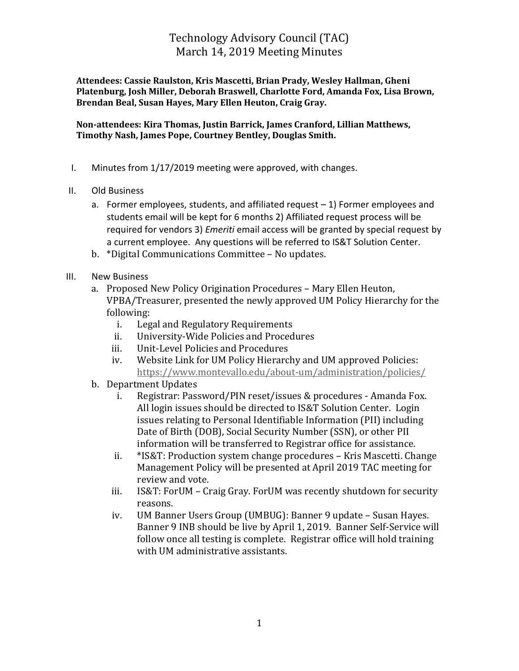## Technology Advisory Council (TAC) March 14, 2019 Meeting Minutes

**Attendees: Cassie Raulston, Kris Mascetti, Brian Prady, Wesley Hallman, Gheni Platenburg, Josh Miller, Deborah Braswell, Charlotte Ford, Amanda Fox, Lisa Brown, Brendan Beal, Susan Hayes, Mary Ellen Heuton, Craig Gray.**

**Non-attendees: Kira Thomas, Justin Barrick, James Cranford, Lillian Matthews, Timothy Nash, James Pope, Courtney Bentley, Douglas Smith.** 

- I. Minutes from 1/17/2019 meeting were approved, with changes.
- II. Old Business
	- a. Former employees, students, and affiliated request  $-1$ ) Former employees and students email will be kept for 6 months 2) Affiliated request process will be required for vendors 3) *Emeriti* email access will be granted by special request by a current employee. Any questions will be referred to IS&T Solution Center.
	- b. \*Digital Communications Committee No updates.
- III. New Business
	- a. Proposed New Policy Origination Procedures Mary Ellen Heuton, VPBA/Treasurer, presented the newly approved UM Policy Hierarchy for the following:
		- i. Legal and Regulatory Requirements
		- ii. University-Wide Policies and Procedures
		- iii. Unit-Level Policies and Procedures
		- iv. Website Link for UM Policy Hierarchy and UM approved Policies: <https://www.montevallo.edu/about-um/administration/policies/>
	- b. Department Updates
		- i. Registrar: Password/PIN reset/issues & procedures Amanda Fox. All login issues should be directed to IS&T Solution Center. Login issues relating to Personal Identifiable Information (PII) including Date of Birth (DOB), Social Security Number (SSN), or other PII information will be transferred to Registrar office for assistance.
		- ii. \*IS&T: Production system change procedures Kris Mascetti. Change Management Policy will be presented at April 2019 TAC meeting for review and vote.
		- iii. IS&T: ForUM Craig Gray. ForUM was recently shutdown for security reasons.
		- iv. UM Banner Users Group (UMBUG): Banner 9 update Susan Hayes. Banner 9 INB should be live by April 1, 2019. Banner Self-Service will follow once all testing is complete. Registrar office will hold training with UM administrative assistants.